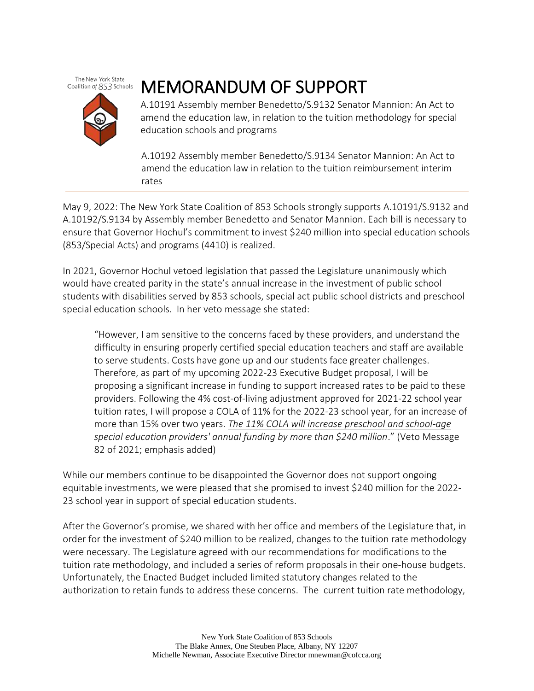The New York State Coalition of 853 Schools

## MEMORANDUM OF SUPPORT

A.10191 Assembly member Benedetto/S.9132 Senator Mannion: An Act to amend the education law, in relation to the tuition methodology for special education schools and programs

A.10192 Assembly member Benedetto/S.9134 Senator Mannion: An Act to amend the education law in relation to the tuition reimbursement interim rates

May 9, 2022: The New York State Coalition of 853 Schools strongly supports A.10191/S.9132 and A.10192/S.9134 by Assembly member Benedetto and Senator Mannion. Each bill is necessary to ensure that Governor Hochul's commitment to invest \$240 million into special education schools (853/Special Acts) and programs (4410) is realized.

In 2021, Governor Hochul vetoed legislation that passed the Legislature unanimously which would have created parity in the state's annual increase in the investment of public school students with disabilities served by 853 schools, special act public school districts and preschool special education schools. In her veto message she stated:

"However, I am sensitive to the concerns faced by these providers, and understand the difficulty in ensuring properly certified special education teachers and staff are available to serve students. Costs have gone up and our students face greater challenges. Therefore, as part of my upcoming 2022-23 Executive Budget proposal, I will be proposing a significant increase in funding to support increased rates to be paid to these providers. Following the 4% cost-of-living adjustment approved for 2021-22 school year tuition rates, I will propose a COLA of 11% for the 2022-23 school year, for an increase of more than 15% over two years. *The 11% COLA will increase preschool and school-age special education providers' annual funding by more than \$240 million*." (Veto Message 82 of 2021; emphasis added)

While our members continue to be disappointed the Governor does not support ongoing equitable investments, we were pleased that she promised to invest \$240 million for the 2022- 23 school year in support of special education students.

After the Governor's promise, we shared with her office and members of the Legislature that, in order for the investment of \$240 million to be realized, changes to the tuition rate methodology were necessary. The Legislature agreed with our recommendations for modifications to the tuition rate methodology, and included a series of reform proposals in their one-house budgets. Unfortunately, the Enacted Budget included limited statutory changes related to the authorization to retain funds to address these concerns. The current tuition rate methodology,